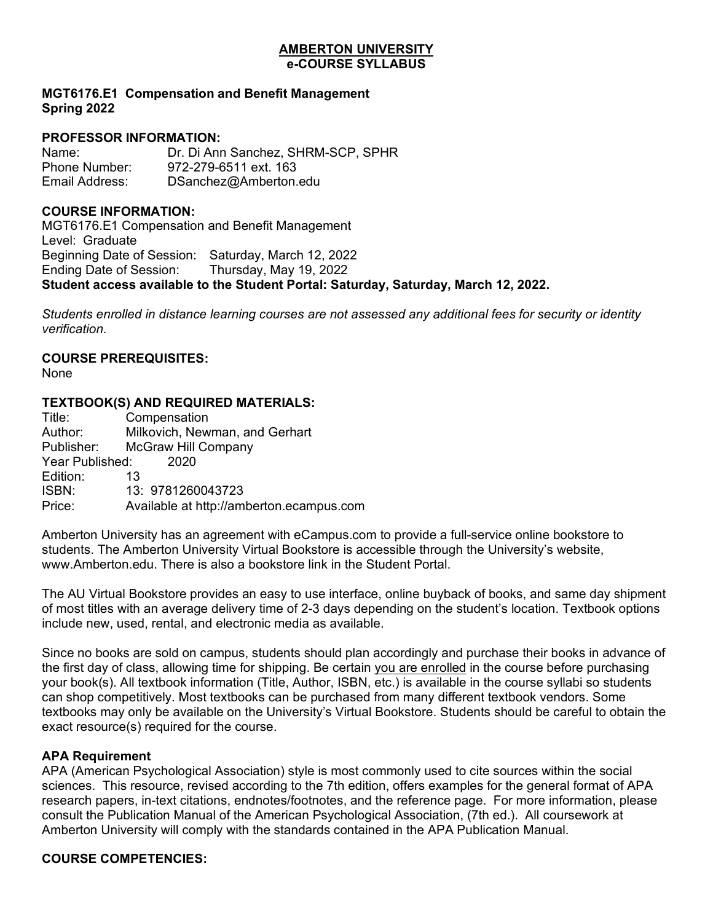#### **AMBERTON UNIVERSITY e-COURSE SYLLABUS**

# **MGT6176.E1 Compensation and Benefit Management Spring 2022**

# **PROFESSOR INFORMATION:**

Name: Dr. Di Ann Sanchez, SHRM-SCP, SPHR<br>Phone Number: 972-279-6511 ext. 163 Phone Number: 972-279-6511 ext. 163<br>Fmail Address: DSanchez@Amberton DSanchez@Amberton.edu

# **COURSE INFORMATION:**

MGT6176.E1 Compensation and Benefit Management Level: Graduate Beginning Date of Session: Saturday, March 12, 2022 Ending Date of Session: Thursday, May 19, 2022 **Student access available to the Student Portal: Saturday, Saturday, March 12, 2022.**

*Students enrolled in distance learning courses are not assessed any additional fees for security or identity verification.*

# **COURSE PREREQUISITES:**

None

# **TEXTBOOK(S) AND REQUIRED MATERIALS:**

| Title:          | Compensation                             |
|-----------------|------------------------------------------|
| Author:         | Milkovich, Newman, and Gerhart           |
| Publisher:      | <b>McGraw Hill Company</b>               |
| Year Published: | 2020                                     |
| Edition:        | 13                                       |
| ISBN:           | 13: 9781260043723                        |
| Price:          | Available at http://amberton.ecampus.com |
|                 |                                          |

Amberton University has an agreement with eCampus.com to provide a full-service online bookstore to students. The Amberton University Virtual Bookstore is accessible through the University's website, www.Amberton.edu. There is also a bookstore link in the Student Portal.

The AU Virtual Bookstore provides an easy to use interface, online buyback of books, and same day shipment of most titles with an average delivery time of 2-3 days depending on the student's location. Textbook options include new, used, rental, and electronic media as available.

Since no books are sold on campus, students should plan accordingly and purchase their books in advance of the first day of class, allowing time for shipping. Be certain you are enrolled in the course before purchasing your book(s). All textbook information (Title, Author, ISBN, etc.) is available in the course syllabi so students can shop competitively. Most textbooks can be purchased from many different textbook vendors. Some textbooks may only be available on the University's Virtual Bookstore. Students should be careful to obtain the exact resource(s) required for the course.

# **APA Requirement**

APA (American Psychological Association) style is most commonly used to cite sources within the social sciences. This resource, revised according to the 7th edition, offers examples for the general format of APA research papers, in-text citations, endnotes/footnotes, and the reference page. For more information, please consult the Publication Manual of the American Psychological Association, (7th ed.). All coursework at Amberton University will comply with the standards contained in the APA Publication Manual.

# **COURSE COMPETENCIES:**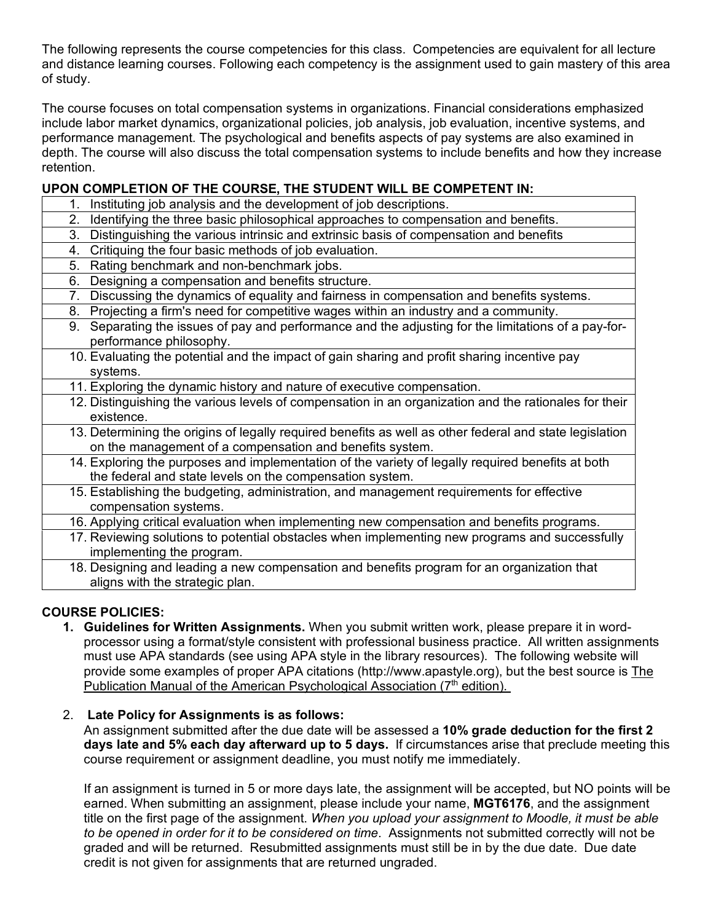The following represents the course competencies for this class. Competencies are equivalent for all lecture and distance learning courses. Following each competency is the assignment used to gain mastery of this area of study.

The course focuses on total compensation systems in organizations. Financial considerations emphasized include labor market dynamics, organizational policies, job analysis, job evaluation, incentive systems, and performance management. The psychological and benefits aspects of pay systems are also examined in depth. The course will also discuss the total compensation systems to include benefits and how they increase retention.

# **UPON COMPLETION OF THE COURSE, THE STUDENT WILL BE COMPETENT IN:**

- 1. Instituting job analysis and the development of job descriptions.
- 2. Identifying the three basic philosophical approaches to compensation and benefits.
- 3. Distinguishing the various intrinsic and extrinsic basis of compensation and benefits
- 4. Critiquing the four basic methods of job evaluation.
- 5. Rating benchmark and non-benchmark jobs.
- 6. Designing a compensation and benefits structure.
	- 7. Discussing the dynamics of equality and fairness in compensation and benefits systems.
- 8. Projecting a firm's need for competitive wages within an industry and a community.
- 9. Separating the issues of pay and performance and the adjusting for the limitations of a pay-forperformance philosophy.
- 10. Evaluating the potential and the impact of gain sharing and profit sharing incentive pay systems.
- 11. Exploring the dynamic history and nature of executive compensation.
- 12. Distinguishing the various levels of compensation in an organization and the rationales for their existence.
- 13. Determining the origins of legally required benefits as well as other federal and state legislation on the management of a compensation and benefits system.
- 14. Exploring the purposes and implementation of the variety of legally required benefits at both the federal and state levels on the compensation system.
- 15. Establishing the budgeting, administration, and management requirements for effective compensation systems.
- 16. Applying critical evaluation when implementing new compensation and benefits programs.
- 17. Reviewing solutions to potential obstacles when implementing new programs and successfully implementing the program.
- 18. Designing and leading a new compensation and benefits program for an organization that aligns with the strategic plan.

# **COURSE POLICIES:**

- **1. Guidelines for Written Assignments.** When you submit written work, please prepare it in wordprocessor using a format/style consistent with professional business practice. All written assignments must use APA standards (see using APA style in the library resources). The following website will provide some examples of proper APA citations (http://www.apastyle.org), but the best source is The Publication Manual of the American Psychological Association ( $7<sup>th</sup>$  edition).
- 2. **Late Policy for Assignments is as follows:**

An assignment submitted after the due date will be assessed a **10% grade deduction for the first 2 days late and 5% each day afterward up to 5 days.** If circumstances arise that preclude meeting this course requirement or assignment deadline, you must notify me immediately.

If an assignment is turned in 5 or more days late, the assignment will be accepted, but NO points will be earned. When submitting an assignment, please include your name, **MGT6176**, and the assignment title on the first page of the assignment. *When you upload your assignment to Moodle, it must be able to be opened in order for it to be considered on time*. Assignments not submitted correctly will not be graded and will be returned. Resubmitted assignments must still be in by the due date. Due date credit is not given for assignments that are returned ungraded.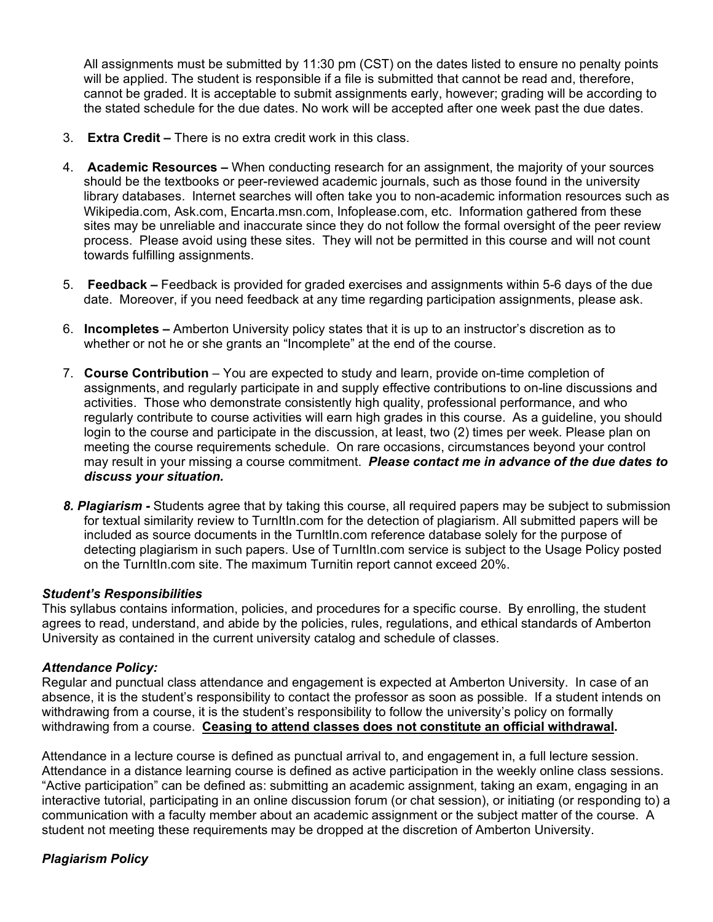All assignments must be submitted by 11:30 pm (CST) on the dates listed to ensure no penalty points will be applied. The student is responsible if a file is submitted that cannot be read and, therefore, cannot be graded. It is acceptable to submit assignments early, however; grading will be according to the stated schedule for the due dates. No work will be accepted after one week past the due dates.

- 3. **Extra Credit –** There is no extra credit work in this class.
- 4. **Academic Resources –** When conducting research for an assignment, the majority of your sources should be the textbooks or peer-reviewed academic journals, such as those found in the university library databases. Internet searches will often take you to non-academic information resources such as Wikipedia.com, Ask.com, Encarta.msn.com, Infoplease.com, etc. Information gathered from these sites may be unreliable and inaccurate since they do not follow the formal oversight of the peer review process. Please avoid using these sites. They will not be permitted in this course and will not count towards fulfilling assignments.
- 5. **Feedback –** Feedback is provided for graded exercises and assignments within 5-6 days of the due date. Moreover, if you need feedback at any time regarding participation assignments, please ask.
- 6. **Incompletes –** Amberton University policy states that it is up to an instructor's discretion as to whether or not he or she grants an "Incomplete" at the end of the course.
- 7. **Course Contribution** You are expected to study and learn, provide on-time completion of assignments, and regularly participate in and supply effective contributions to on-line discussions and activities. Those who demonstrate consistently high quality, professional performance, and who regularly contribute to course activities will earn high grades in this course. As a guideline, you should login to the course and participate in the discussion, at least, two (2) times per week. Please plan on meeting the course requirements schedule. On rare occasions, circumstances beyond your control may result in your missing a course commitment. *Please contact me in advance of the due dates to discuss your situation.*
- *8. Plagiarism -* Students agree that by taking this course, all required papers may be subject to submission for textual similarity review to TurnItIn.com for the detection of plagiarism. All submitted papers will be included as source documents in the TurnItIn.com reference database solely for the purpose of detecting plagiarism in such papers. Use of TurnItIn.com service is subject to the Usage Policy posted on the TurnItIn.com site. The maximum Turnitin report cannot exceed 20%.

# *Student's Responsibilities*

This syllabus contains information, policies, and procedures for a specific course. By enrolling, the student agrees to read, understand, and abide by the policies, rules, regulations, and ethical standards of Amberton University as contained in the current university catalog and schedule of classes.

# *Attendance Policy:*

Regular and punctual class attendance and engagement is expected at Amberton University. In case of an absence, it is the student's responsibility to contact the professor as soon as possible. If a student intends on withdrawing from a course, it is the student's responsibility to follow the university's policy on formally withdrawing from a course. **Ceasing to attend classes does not constitute an official withdrawal.**

Attendance in a lecture course is defined as punctual arrival to, and engagement in, a full lecture session. Attendance in a distance learning course is defined as active participation in the weekly online class sessions. "Active participation" can be defined as: submitting an academic assignment, taking an exam, engaging in an interactive tutorial, participating in an online discussion forum (or chat session), or initiating (or responding to) a communication with a faculty member about an academic assignment or the subject matter of the course. A student not meeting these requirements may be dropped at the discretion of Amberton University.

# *Plagiarism Policy*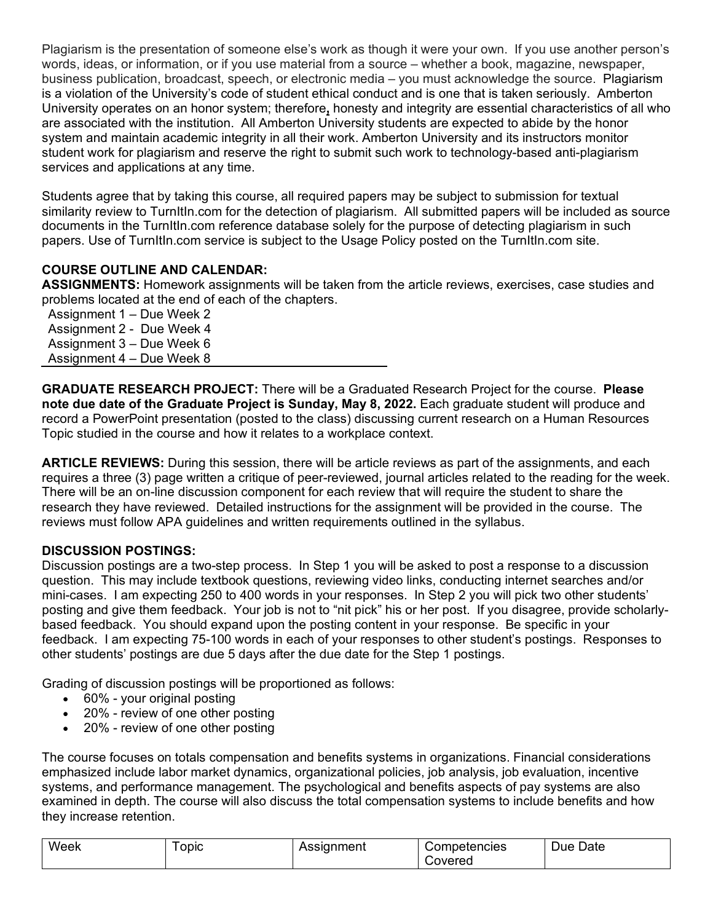Plagiarism is the presentation of someone else's work as though it were your own. If you use another person's words, ideas, or information, or if you use material from a source – whether a book, magazine, newspaper, business publication, broadcast, speech, or electronic media – you must acknowledge the source. Plagiarism is a violation of the University's code of student ethical conduct and is one that is taken seriously. Amberton University operates on an honor system; therefore**,** honesty and integrity are essential characteristics of all who are associated with the institution. All Amberton University students are expected to abide by the honor system and maintain academic integrity in all their work. Amberton University and its instructors monitor student work for plagiarism and reserve the right to submit such work to technology-based anti-plagiarism services and applications at any time.

Students agree that by taking this course, all required papers may be subject to submission for textual similarity review to TurnItIn.com for the detection of plagiarism. All submitted papers will be included as source documents in the TurnItIn.com reference database solely for the purpose of detecting plagiarism in such papers. Use of TurnItIn.com service is subject to the Usage Policy posted on the TurnItIn.com site.

# **COURSE OUTLINE AND CALENDAR:**

**ASSIGNMENTS:** Homework assignments will be taken from the article reviews, exercises, case studies and problems located at the end of each of the chapters.

Assignment 1 – Due Week 2 Assignment 2 - Due Week 4 Assignment 3 – Due Week 6 Assignment 4 – Due Week 8

**GRADUATE RESEARCH PROJECT:** There will be a Graduated Research Project for the course. **Please note due date of the Graduate Project is Sunday, May 8, 2022.** Each graduate student will produce and record a PowerPoint presentation (posted to the class) discussing current research on a Human Resources Topic studied in the course and how it relates to a workplace context.

**ARTICLE REVIEWS:** During this session, there will be article reviews as part of the assignments, and each requires a three (3) page written a critique of peer-reviewed, journal articles related to the reading for the week. There will be an on-line discussion component for each review that will require the student to share the research they have reviewed. Detailed instructions for the assignment will be provided in the course. The reviews must follow APA guidelines and written requirements outlined in the syllabus.

# **DISCUSSION POSTINGS:**

Discussion postings are a two-step process. In Step 1 you will be asked to post a response to a discussion question. This may include textbook questions, reviewing video links, conducting internet searches and/or mini-cases. I am expecting 250 to 400 words in your responses. In Step 2 you will pick two other students' posting and give them feedback. Your job is not to "nit pick" his or her post. If you disagree, provide scholarlybased feedback. You should expand upon the posting content in your response. Be specific in your feedback. I am expecting 75-100 words in each of your responses to other student's postings. Responses to other students' postings are due 5 days after the due date for the Step 1 postings.

Grading of discussion postings will be proportioned as follows:

- 60% your original posting
- 20% review of one other posting
- 20% review of one other posting

The course focuses on totals compensation and benefits systems in organizations. Financial considerations emphasized include labor market dynamics, organizational policies, job analysis, job evaluation, incentive systems, and performance management. The psychological and benefits aspects of pay systems are also examined in depth. The course will also discuss the total compensation systems to include benefits and how they increase retention.

| Week | ODIC | Assignment | Competencies | Date<br>Due |
|------|------|------------|--------------|-------------|
|      |      |            | Covered      |             |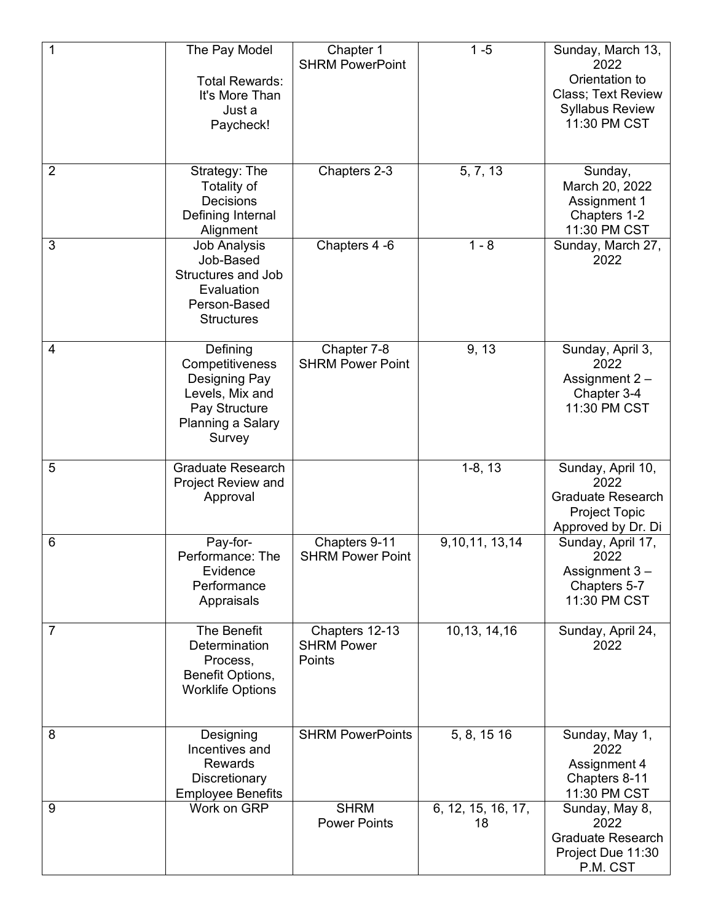| 1              | The Pay Model<br><b>Total Rewards:</b><br>It's More Than<br>Just a<br>Paycheck!                                  | Chapter 1<br><b>SHRM PowerPoint</b>           | $1 - 5$                  | Sunday, March 13,<br>2022<br>Orientation to<br>Class; Text Review<br><b>Syllabus Review</b><br>11:30 PM CST |
|----------------|------------------------------------------------------------------------------------------------------------------|-----------------------------------------------|--------------------------|-------------------------------------------------------------------------------------------------------------|
| $\overline{2}$ | Strategy: The<br>Totality of<br>Decisions<br>Defining Internal<br>Alignment                                      | Chapters 2-3                                  | 5, 7, 13                 | Sunday,<br>March 20, 2022<br>Assignment 1<br>Chapters 1-2<br>11:30 PM CST                                   |
| 3              | <b>Job Analysis</b><br>Job-Based<br><b>Structures and Job</b><br>Evaluation<br>Person-Based<br><b>Structures</b> | Chapters 4 -6                                 | $1 - 8$                  | Sunday, March 27,<br>2022                                                                                   |
| 4              | Defining<br>Competitiveness<br>Designing Pay<br>Levels, Mix and<br>Pay Structure<br>Planning a Salary<br>Survey  | Chapter 7-8<br><b>SHRM Power Point</b>        | 9, 13                    | Sunday, April 3,<br>2022<br>Assignment 2-<br>Chapter 3-4<br>11:30 PM CST                                    |
| 5              | <b>Graduate Research</b><br>Project Review and<br>Approval                                                       |                                               | $1-8, 13$                | Sunday, April 10,<br>2022<br><b>Graduate Research</b><br><b>Project Topic</b><br>Approved by Dr. Di         |
| 6              | Pay-for-<br>Performance: The<br>Evidence<br>Performance<br>Appraisals                                            | Chapters 9-11<br><b>SHRM Power Point</b>      | 9, 10, 11, 13, 14        | Sunday, April 17,<br>2022<br>Assignment 3-<br>Chapters 5-7<br>11:30 PM CST                                  |
| 7              | The Benefit<br>Determination<br>Process,<br>Benefit Options,<br><b>Worklife Options</b>                          | Chapters 12-13<br><b>SHRM Power</b><br>Points | 10,13, 14,16             | Sunday, April 24,<br>2022                                                                                   |
| 8              | Designing<br>Incentives and<br><b>Rewards</b><br>Discretionary<br><b>Employee Benefits</b>                       | <b>SHRM PowerPoints</b>                       | 5, 8, 15 16              | Sunday, May 1,<br>2022<br>Assignment 4<br>Chapters 8-11<br>11:30 PM CST                                     |
| 9              | Work on GRP                                                                                                      | <b>SHRM</b><br><b>Power Points</b>            | 6, 12, 15, 16, 17,<br>18 | Sunday, May 8,<br>2022<br><b>Graduate Research</b><br>Project Due 11:30<br>P.M. CST                         |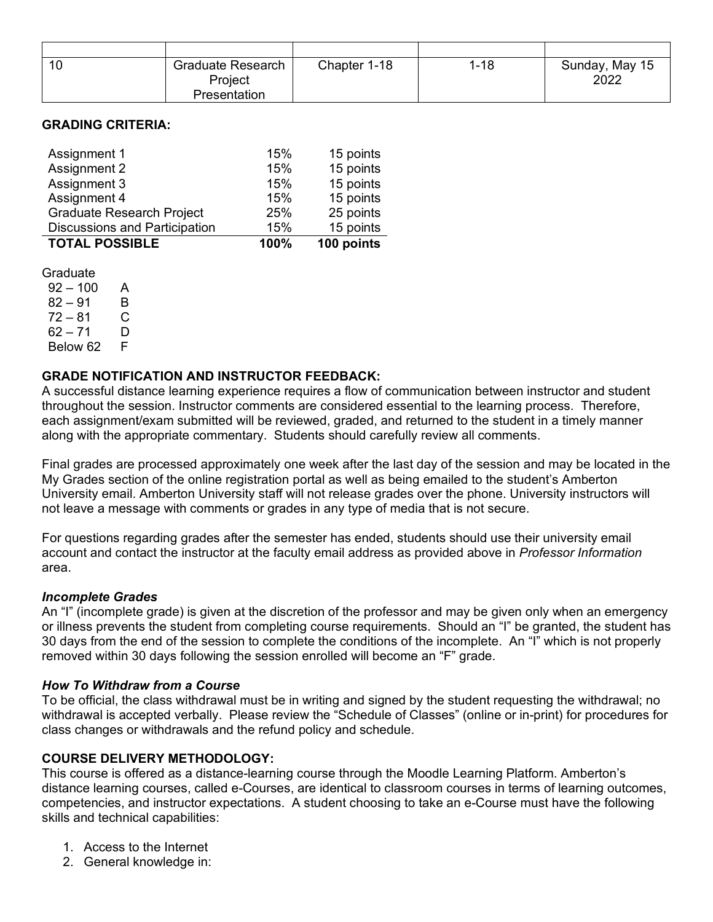| <b>Graduate Research</b> | Chapter 1-18 | $1 - 18$ | Sunday, May 15 |
|--------------------------|--------------|----------|----------------|
| Project                  |              |          | 2022           |
| Presentation             |              |          |                |

### **GRADING CRITERIA:**

| Assignment 1                         | 15%  | 15 points  |
|--------------------------------------|------|------------|
| Assignment 2                         | 15%  | 15 points  |
| Assignment 3                         | 15%  | 15 points  |
| Assignment 4                         | 15%  | 15 points  |
| <b>Graduate Research Project</b>     | 25%  | 25 points  |
| <b>Discussions and Participation</b> | 15%  | 15 points  |
| <b>TOTAL POSSIBLE</b>                | 100% | 100 points |

Graduate

 $92 - 100$  A  $82 - 91$  B  $72 - 81$  C 62 – 71 D<br>Below 62 F Below 62

### **GRADE NOTIFICATION AND INSTRUCTOR FEEDBACK:**

A successful distance learning experience requires a flow of communication between instructor and student throughout the session. Instructor comments are considered essential to the learning process. Therefore, each assignment/exam submitted will be reviewed, graded, and returned to the student in a timely manner along with the appropriate commentary. Students should carefully review all comments.

Final grades are processed approximately one week after the last day of the session and may be located in the My Grades section of the online registration portal as well as being emailed to the student's Amberton University email. Amberton University staff will not release grades over the phone. University instructors will not leave a message with comments or grades in any type of media that is not secure.

For questions regarding grades after the semester has ended, students should use their university email account and contact the instructor at the faculty email address as provided above in *Professor Information* area.

#### *Incomplete Grades*

An "I" (incomplete grade) is given at the discretion of the professor and may be given only when an emergency or illness prevents the student from completing course requirements. Should an "I" be granted, the student has 30 days from the end of the session to complete the conditions of the incomplete. An "I" which is not properly removed within 30 days following the session enrolled will become an "F" grade.

#### *How To Withdraw from a Course*

To be official, the class withdrawal must be in writing and signed by the student requesting the withdrawal; no withdrawal is accepted verbally. Please review the "Schedule of Classes" (online or in-print) for procedures for class changes or withdrawals and the refund policy and schedule.

#### **COURSE DELIVERY METHODOLOGY:**

This course is offered as a distance-learning course through the Moodle Learning Platform. Amberton's distance learning courses, called e-Courses, are identical to classroom courses in terms of learning outcomes, competencies, and instructor expectations. A student choosing to take an e-Course must have the following skills and technical capabilities:

- 1. Access to the Internet
- 2. General knowledge in: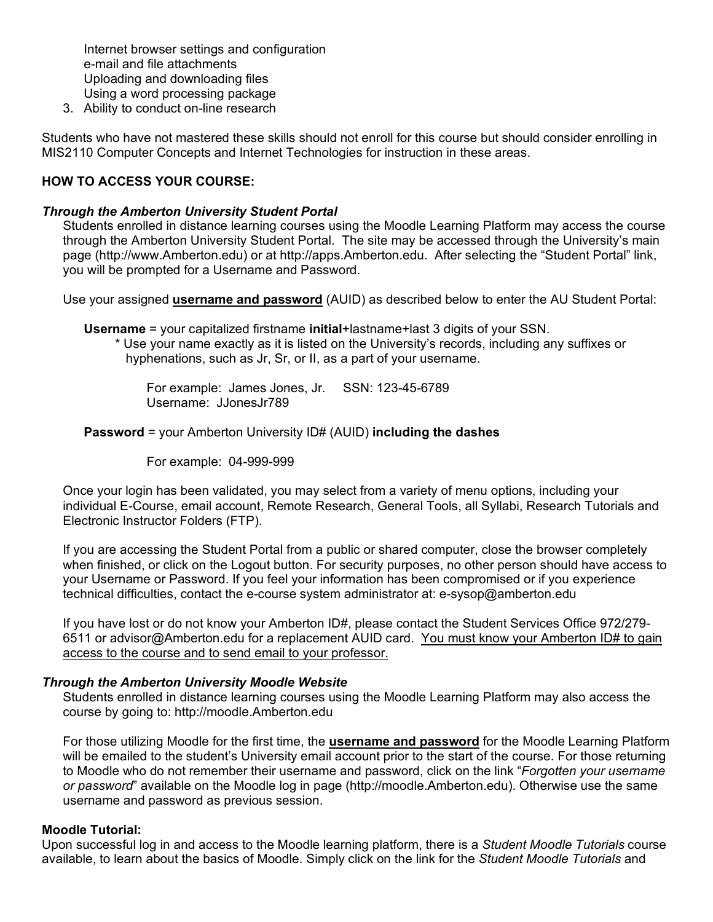Internet browser settings and configuration e-mail and file attachments Uploading and downloading files Using a word processing package

3. Ability to conduct on-line research

Students who have not mastered these skills should not enroll for this course but should consider enrolling in MIS2110 Computer Concepts and Internet Technologies for instruction in these areas.

### **HOW TO ACCESS YOUR COURSE:**

#### *Through the Amberton University Student Portal*

Students enrolled in distance learning courses using the Moodle Learning Platform may access the course through the Amberton University Student Portal. The site may be accessed through the University's main page (http://www.Amberton.edu) or at http://apps.Amberton.edu. After selecting the "Student Portal" link, you will be prompted for a Username and Password.

Use your assigned **username and password** (AUID) as described below to enter the AU Student Portal:

**Username** = your capitalized firstname **initial**+lastname+last 3 digits of your SSN.

\* Use your name exactly as it is listed on the University's records, including any suffixes or hyphenations, such as Jr, Sr, or II, as a part of your username.

For example: James Jones, Jr. SSN: 123-45-6789 Username: JJonesJr789

**Password** = your Amberton University ID# (AUID) **including the dashes**

For example: 04-999-999

Once your login has been validated, you may select from a variety of menu options, including your individual E-Course, email account, Remote Research, General Tools, all Syllabi, Research Tutorials and Electronic Instructor Folders (FTP).

If you are accessing the Student Portal from a public or shared computer, close the browser completely when finished, or click on the Logout button. For security purposes, no other person should have access to your Username or Password. If you feel your information has been compromised or if you experience technical difficulties, contact the e-course system administrator at: e-sysop@amberton.edu

If you have lost or do not know your Amberton ID#, please contact the Student Services Office 972/279-6511 or advisor@Amberton.edu for a replacement AUID card. You must know your Amberton ID# to gain access to the course and to send email to your professor.

#### *Through the Amberton University Moodle Website*

Students enrolled in distance learning courses using the Moodle Learning Platform may also access the course by going to: http://moodle.Amberton.edu

For those utilizing Moodle for the first time, the **username and password** for the Moodle Learning Platform will be emailed to the student's University email account prior to the start of the course. For those returning to Moodle who do not remember their username and password, click on the link "*Forgotten your username or password*" available on the Moodle log in page (http://moodle.Amberton.edu). Otherwise use the same username and password as previous session.

#### **Moodle Tutorial:**

Upon successful log in and access to the Moodle learning platform, there is a *Student Moodle Tutorials* course available, to learn about the basics of Moodle. Simply click on the link for the *Student Moodle Tutorials* and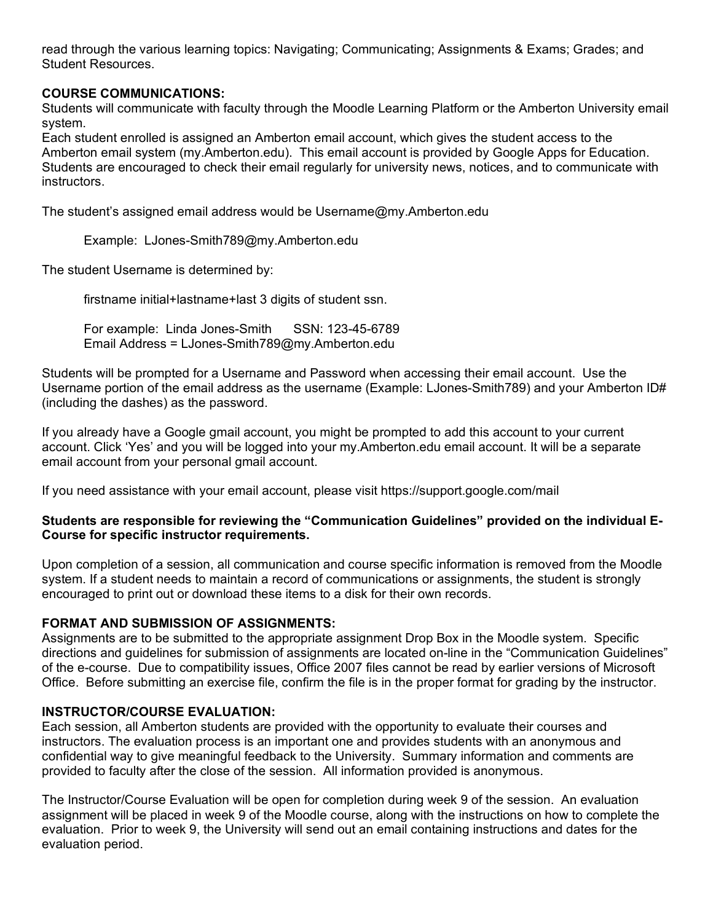read through the various learning topics: Navigating; Communicating; Assignments & Exams; Grades; and Student Resources.

# **COURSE COMMUNICATIONS:**

Students will communicate with faculty through the Moodle Learning Platform or the Amberton University email system.

Each student enrolled is assigned an Amberton email account, which gives the student access to the Amberton email system (my.Amberton.edu). This email account is provided by Google Apps for Education. Students are encouraged to check their email regularly for university news, notices, and to communicate with instructors.

The student's assigned email address would be Username@my.Amberton.edu

Example: LJones-Smith789@my.Amberton.edu

The student Username is determined by:

firstname initial+lastname+last 3 digits of student ssn.

For example: Linda Jones-Smith SSN: 123-45-6789 Email Address = LJones-Smith789@my.Amberton.edu

Students will be prompted for a Username and Password when accessing their email account. Use the Username portion of the email address as the username (Example: LJones-Smith789) and your Amberton ID# (including the dashes) as the password.

If you already have a Google gmail account, you might be prompted to add this account to your current account. Click 'Yes' and you will be logged into your my.Amberton.edu email account. It will be a separate email account from your personal gmail account.

If you need assistance with your email account, please visit https://support.google.com/mail

### **Students are responsible for reviewing the "Communication Guidelines" provided on the individual E-Course for specific instructor requirements.**

Upon completion of a session, all communication and course specific information is removed from the Moodle system. If a student needs to maintain a record of communications or assignments, the student is strongly encouraged to print out or download these items to a disk for their own records.

# **FORMAT AND SUBMISSION OF ASSIGNMENTS:**

Assignments are to be submitted to the appropriate assignment Drop Box in the Moodle system. Specific directions and guidelines for submission of assignments are located on-line in the "Communication Guidelines" of the e-course. Due to compatibility issues, Office 2007 files cannot be read by earlier versions of Microsoft Office. Before submitting an exercise file, confirm the file is in the proper format for grading by the instructor.

# **INSTRUCTOR/COURSE EVALUATION:**

Each session, all Amberton students are provided with the opportunity to evaluate their courses and instructors. The evaluation process is an important one and provides students with an anonymous and confidential way to give meaningful feedback to the University. Summary information and comments are provided to faculty after the close of the session. All information provided is anonymous.

The Instructor/Course Evaluation will be open for completion during week 9 of the session. An evaluation assignment will be placed in week 9 of the Moodle course, along with the instructions on how to complete the evaluation. Prior to week 9, the University will send out an email containing instructions and dates for the evaluation period.